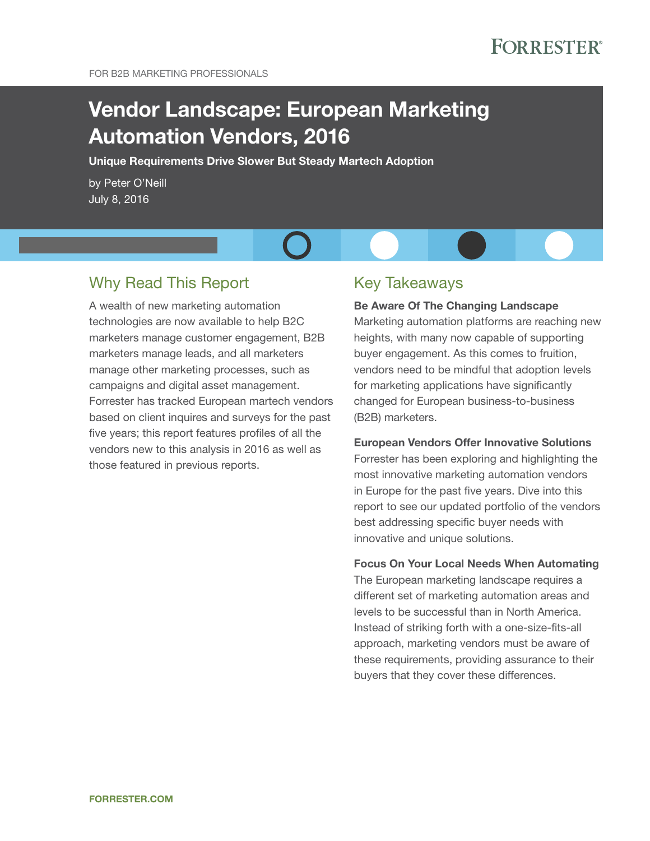# Vendor Landscape: European Marketing Automation Vendors, 2016

Unique Requirements Drive Slower But Steady Martech Adoption

by Peter O'Neill July 8, 2016

## Why Read This Report

a wealth of new marketing automation technologies are now available to help B2C marketers manage customer engagement, B2B marketers manage leads, and all marketers manage other marketing processes, such as campaigns and digital asset management. Forrester has tracked European martech vendors based on client inquires and surveys for the past five years; this report features profiles of all the vendors new to this analysis in 2016 as well as those featured in previous reports.

### **Key Takeaways**

(B2B) marketers.

### Be Aware Of The Changing Landscape Marketing automation platforms are reaching new heights, with many now capable of supporting buyer engagement. As this comes to fruition, vendors need to be mindful that adoption levels for marketing applications have significantly changed for European business-to-business

#### European Vendors Offer Innovative Solutions

Forrester has been exploring and highlighting the most innovative marketing automation vendors in Europe for the past five years. Dive into this report to see our updated portfolio of the vendors best addressing specific buyer needs with innovative and unique solutions.

#### Focus On Your Local Needs When Automating

The European marketing landscape requires a different set of marketing automation areas and levels to be successful than in North America. Instead of striking forth with a one-size-fits-all approach, marketing vendors must be aware of these requirements, providing assurance to their buyers that they cover these differences.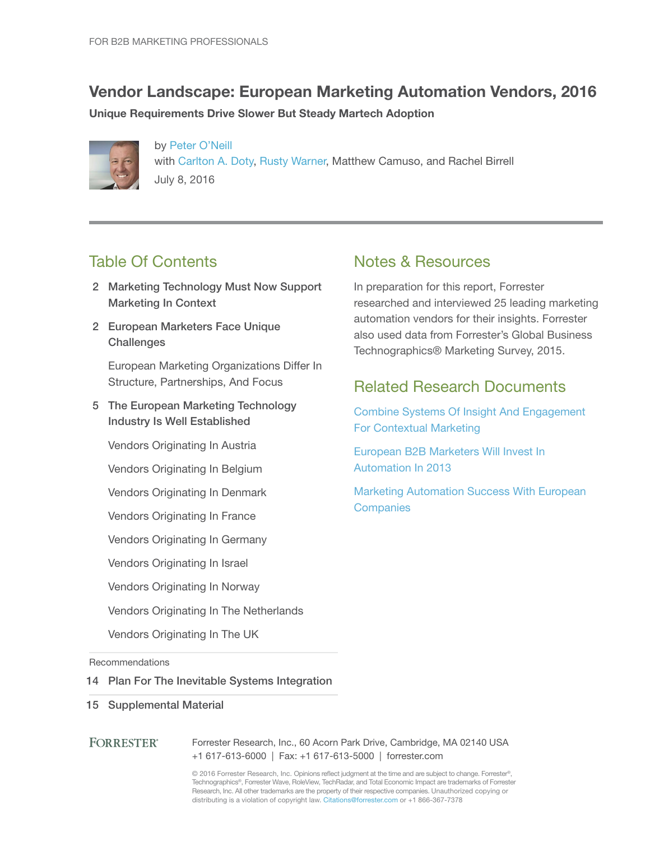## Vendor Landscape: European Marketing Automation Vendors, 2016

Unique Requirements Drive Slower But Steady Martech Adoption



by Peter O'Neill with Carlton A. Doty, Rusty Warner, Matthew Camuso, and Rachel Birrell July 8, 2016

## **Table Of Contents**

- 2 Marketing Technology Must Now Support Marketing In Context
- 2 European Marketers Face Unique **Challenges**

European Marketing Organizations Differ In Structure, Partnerships, And Focus

5 The European Marketing Technology Industry Is Well Established

Vendors Originating In Austria

Vendors Originating in Belgium

Vendors Originating in Denmark

- Vendors Originating in France
- Vendors Originating In Germany

Vendors Originating In Israel

Vendors Originating in Norway

Vendors Originating In The Netherlands

Vendors Originating In The UK

Recommendations

#### 14 Plan For The Inevitable Systems Integration

15 Supplemental Material

#### **FORRESTER®** Forrester Research, Inc., 60 Acorn Park Drive, Cambridge, MA 02140 USA +1 617-613-6000 | Fax: +1 617-613-5000 | forrester.com

© 2016 Forrester Research, Inc. Opinions reflect judgment at the time and are subject to change. Forrester®, Technographics®, Forrester Wave, RoleView, TechRadar, and Total Economic Impact are trademarks of Forrester Research, Inc. All other trademarks are the property of their respective companies. Unauthorized copying or distributing is a violation of copyright law. Citations@forrester.com or +1 866-367-7378

### Notes & Resources

in preparation for this report, Forrester researched and interviewed 25 leading marketing automation vendors for their insights. Forrester also used data from Forrester's global Business Technographics® Marketing Survey, 2015.

### **Related Research Documents**

Combine Systems Of Insight And Engagement For Contextual Marketing

European B2B Marketers Will Invest In automation in 2013

Marketing Automation Success With European **Companies**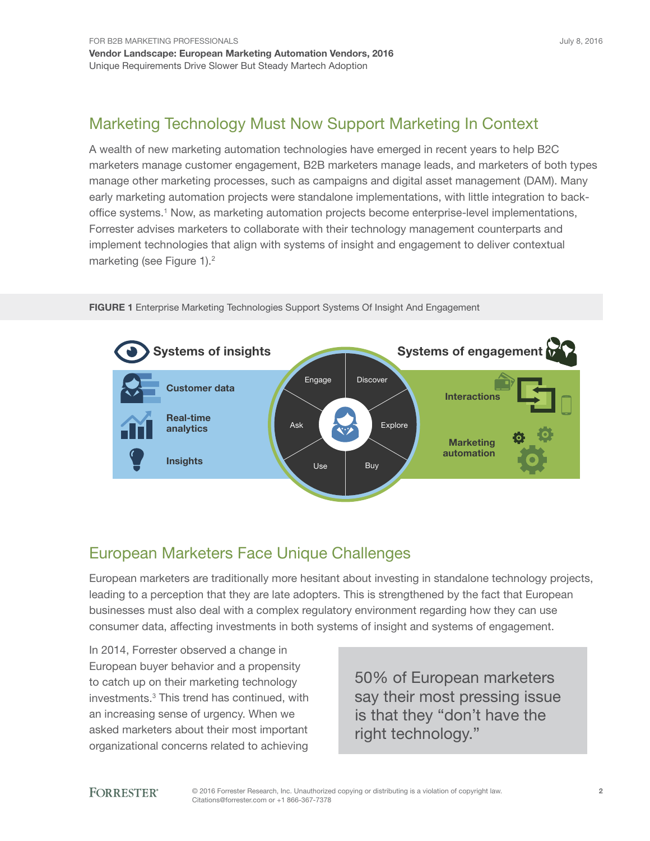## Marketing Technology Must Now Support Marketing In Context

a wealth of new marketing automation technologies have emerged in recent years to help B2C marketers manage customer engagement, B2B marketers manage leads, and marketers of both types manage other marketing processes, such as campaigns and digital asset management (DaM). Many early marketing automation projects were standalone implementations, with little integration to backoffice systems.<sup>1</sup> Now, as marketing automation projects become enterprise-level implementations, Forrester advises marketers to collaborate with their technology management counterparts and implement technologies that align with systems of insight and engagement to deliver contextual marketing (see Figure 1).<sup>2</sup>



FIGURE 1 Enterprise Marketing Technologies Support Systems Of Insight And Engagement

## European Marketers Face Unique Challenges

European marketers are traditionally more hesitant about investing in standalone technology projects, leading to a perception that they are late adopters. This is strengthened by the fact that European businesses must also deal with a complex regulatory environment regarding how they can use consumer data, affecting investments in both systems of insight and systems of engagement.

in 2014, Forrester observed a change in European buyer behavior and a propensity to catch up on their marketing technology investments.<sup>3</sup> This trend has continued, with an increasing sense of urgency. When we asked marketers about their most important organizational concerns related to achieving

50% of European marketers say their most pressing issue is that they "don't have the right technology."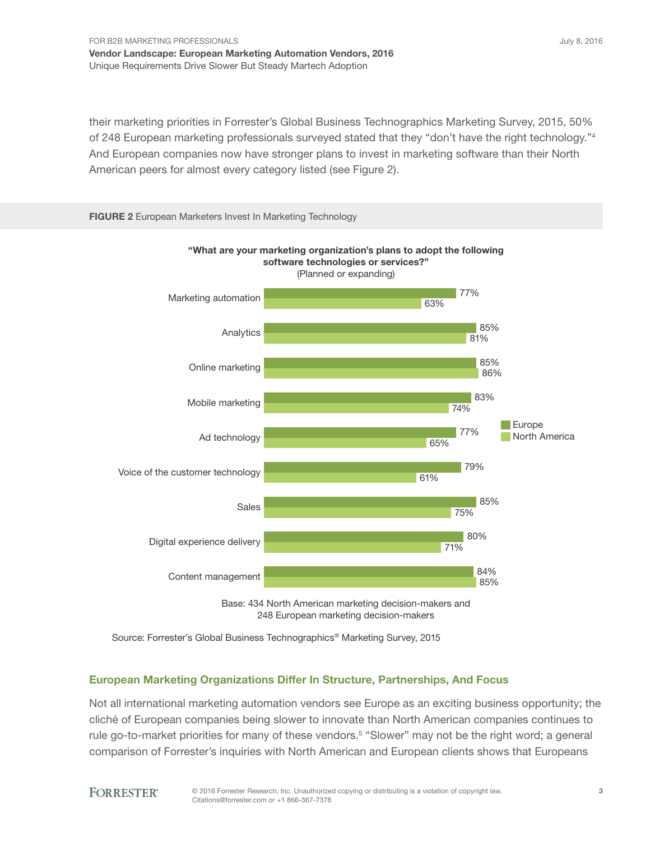their marketing priorities in Forrester's Global Business Technographics Marketing Survey, 2015, 50% of 248 European marketing professionals surveyed stated that they "don't have the right technology."<sup>4</sup> and european companies now have stronger plans to invest in marketing software than their North American peers for almost every category listed (see Figure 2).



248 European marketing decision-makers

#### European Marketing Organizations Differ In Structure, Partnerships, And Focus

Not all international marketing automation vendors see Europe as an exciting business opportunity; the cliché of european companies being slower to innovate than North american companies continues to rule go-to-market priorities for many of these vendors.<sup>5</sup> "Slower" may not be the right word; a general comparison of Forrester's inquiries with North American and European clients shows that Europeans

Source: Forrester's Global Business Technographics ® Marketing Survey, 2015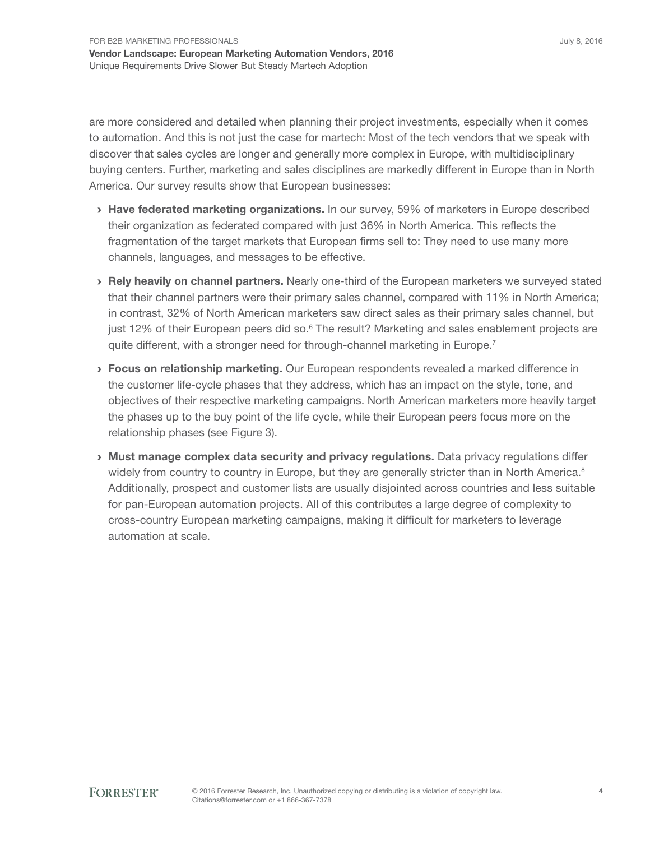are more considered and detailed when planning their project investments, especially when it comes to automation. and this is not just the case for martech: Most of the tech vendors that we speak with discover that sales cycles are longer and generally more complex in Europe, with multidisciplinary buying centers. Further, marketing and sales disciplines are markedly different in Europe than in North America. Our survey results show that European businesses:

- **› Have federated marketing organizations.** In our survey, 59% of marketers in Europe described their organization as federated compared with just 36% in North America. This reflects the fragmentation of the target markets that European firms sell to: They need to use many more channels, languages, and messages to be effective.
- **> Rely heavily on channel partners.** Nearly one-third of the European marketers we surveyed stated that their channel partners were their primary sales channel, compared with 11% in North America; in contrast, 32% of North American marketers saw direct sales as their primary sales channel, but just 12% of their European peers did so.<sup>6</sup> The result? Marketing and sales enablement projects are quite different, with a stronger need for through-channel marketing in Europe.<sup>7</sup>
- **> Focus on relationship marketing.** Our European respondents revealed a marked difference in the customer life-cycle phases that they address, which has an impact on the style, tone, and objectives of their respective marketing campaigns. North American marketers more heavily target the phases up to the buy point of the life cycle, while their European peers focus more on the relationship phases (see Figure 3).
- › Must manage complex data security and privacy regulations. Data privacy regulations differ widely from country to country in Europe, but they are generally stricter than in North America. $8$ additionally, prospect and customer lists are usually disjointed across countries and less suitable for pan-European automation projects. All of this contributes a large degree of complexity to cross-country European marketing campaigns, making it difficult for marketers to leverage automation at scale.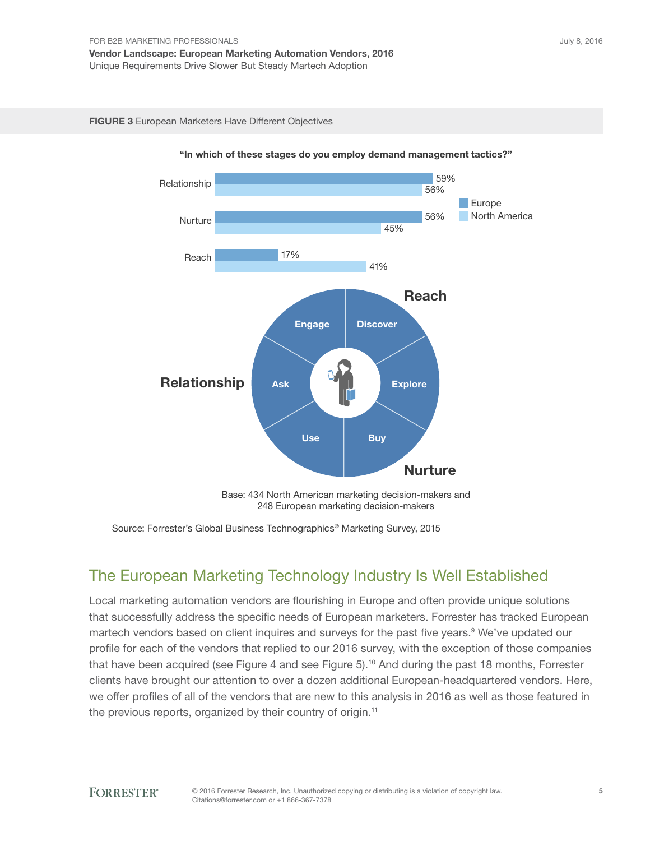#### FIGURE 3 European Marketers Have Different Objectives



"In which of these stages do you employ demand management tactics?"

Source: Forrester's Global Business Technographics ® Marketing Survey, 2015

## The European Marketing Technology Industry Is Well Established

Local marketing automation vendors are flourishing in Europe and often provide unique solutions that successfully address the specific needs of European marketers. Forrester has tracked European martech vendors based on client inquires and surveys for the past five years.<sup>9</sup> We've updated our profile for each of the vendors that replied to our 2016 survey, with the exception of those companies that have been acquired (see Figure 4 and see Figure 5).<sup>10</sup> And during the past 18 months, Forrester clients have brought our attention to over a dozen additional European-headquartered vendors. Here, we offer profiles of all of the vendors that are new to this analysis in 2016 as well as those featured in the previous reports, organized by their country of origin.<sup>11</sup>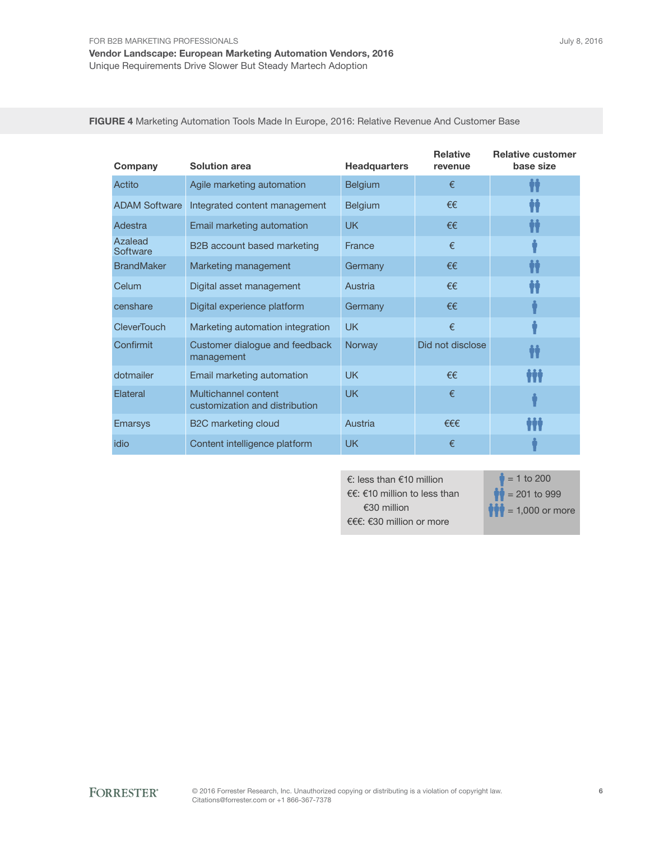| Company                                                            | <b>Solution area</b>                         | <b>Headquarters</b> | <b>Relative</b><br>revenue | <b>Relative customer</b><br>base size |
|--------------------------------------------------------------------|----------------------------------------------|---------------------|----------------------------|---------------------------------------|
| Actito                                                             | Agile marketing automation                   | <b>Belgium</b>      | €                          |                                       |
| <b>ADAM Software</b>                                               | Integrated content management                | <b>Belgium</b>      | €€                         |                                       |
| Adestra                                                            | Email marketing automation                   | <b>UK</b>           | €€                         |                                       |
| Azalead<br>Software                                                | B2B account based marketing                  | France              | €                          |                                       |
| <b>BrandMaker</b>                                                  | Marketing management                         | Germany             | €€                         |                                       |
| Celum                                                              | Digital asset management                     | Austria             | €€                         |                                       |
| censhare                                                           | Digital experience platform                  | Germany             | €€                         |                                       |
| CleverTouch                                                        | Marketing automation integration             | <b>UK</b>           | €                          |                                       |
| Confirmit                                                          | Customer dialogue and feedback<br>management | Norway              | Did not disclose           |                                       |
| dotmailer                                                          | Email marketing automation                   | <b>UK</b>           | €€                         | İİİ                                   |
| Multichannel content<br>Elateral<br>customization and distribution |                                              | UK                  | €                          |                                       |
| <b>Emarsys</b>                                                     | B <sub>2</sub> C marketing cloud             | Austria             | $f \in \in$                | $\prod$                               |
| idio                                                               | Content intelligence platform                | <b>UK</b>           | €                          |                                       |

FIGURE 4 Marketing Automation Tools Made In Europe, 2016: Relative Revenue And Customer Base

€: less than €10 million €€: €10 million to less than €30 million €€€: €30 million or more

 $\frac{1}{2}$  = 1 to 200  $\bullet$  = 201 to 999  $\bullet$  = 1,000 or more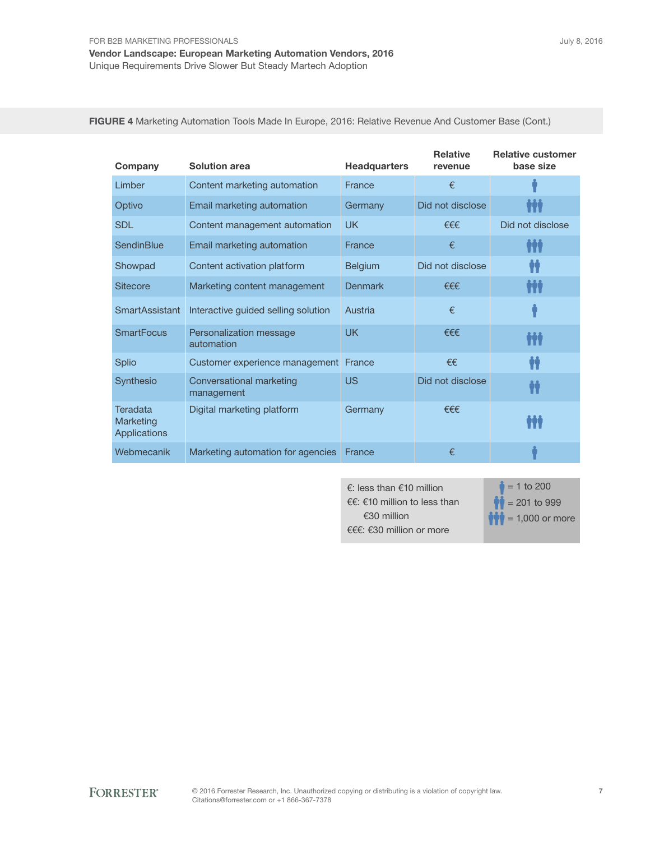July 8, 2016

FIGURE 4 Marketing Automation Tools Made In Europe, 2016: Relative Revenue And Customer Base (Cont.)

| Company                               | <b>Solution area</b>                   | <b>Headquarters</b> | <b>Relative</b><br>revenue | <b>Relative customer</b><br>base size |
|---------------------------------------|----------------------------------------|---------------------|----------------------------|---------------------------------------|
| Limber                                | Content marketing automation           | France              | €                          |                                       |
| Optivo                                | Email marketing automation             | Germany             | Did not disclose           | ŸŸÝ                                   |
| <b>SDL</b>                            | Content management automation          | <b>UK</b>           | €€€                        | Did not disclose                      |
| <b>SendinBlue</b>                     | Email marketing automation             | France              | €                          | Ħŧ                                    |
| Showpad                               | Content activation platform            | <b>Belgium</b>      | Did not disclose           | Ħ                                     |
| <b>Sitecore</b>                       | Marketing content management           | <b>Denmark</b>      | €€€                        | Ħŧ                                    |
| <b>SmartAssistant</b>                 | Interactive guided selling solution    | Austria             | €                          |                                       |
| <b>SmartFocus</b>                     | Personalization message<br>automation  | <b>UK</b>           | €€€                        | ĦŤ                                    |
| Splio                                 | Customer experience management         | France              | €€                         | Ħ                                     |
| Synthesio                             | Conversational marketing<br>management | <b>US</b>           | Did not disclose           | İİ                                    |
| Teradata<br>Marketing<br>Applications | Digital marketing platform             | Germany             | €€€                        |                                       |
| Webmecanik                            | Marketing automation for agencies      | France              | €                          |                                       |

€: less than €10 million €€: €10 million to less than €30 million €€€: €30 million or more

 $= 1$  to 200  $= 201$  to 999  $= 1,000$  or more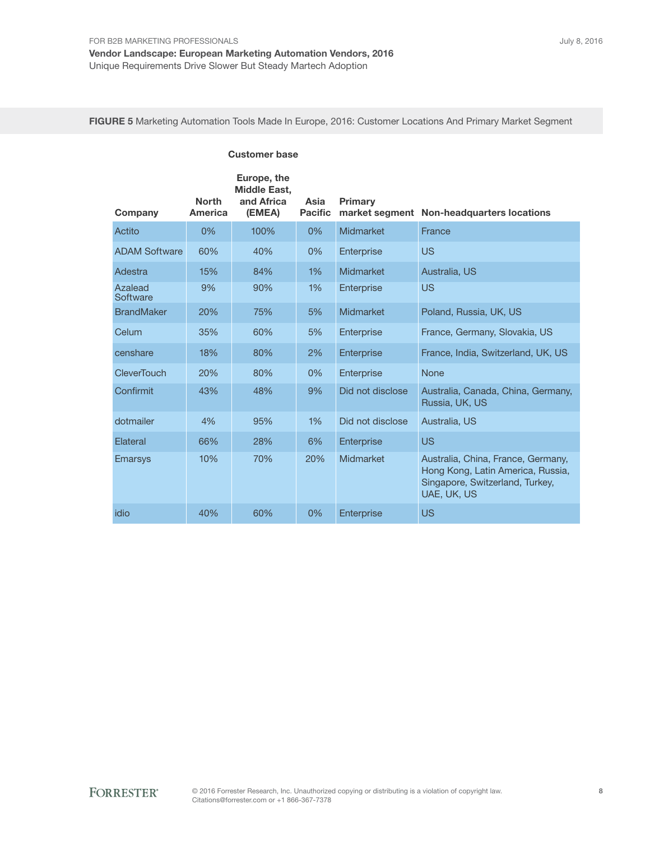FIGURE 5 Marketing Automation Tools Made In Europe, 2016: Customer Locations And Primary Market Segment

| <b>Customer base</b> |                                |                                                            |                        |                  |                                                                                                                           |
|----------------------|--------------------------------|------------------------------------------------------------|------------------------|------------------|---------------------------------------------------------------------------------------------------------------------------|
| Company              | <b>North</b><br><b>America</b> | Europe, the<br><b>Middle East,</b><br>and Africa<br>(EMEA) | Asia<br><b>Pacific</b> | <b>Primary</b>   | market segment Non-headquarters locations                                                                                 |
| Actito               | $0\%$                          | 100%                                                       | 0%                     | Midmarket        | France                                                                                                                    |
| <b>ADAM Software</b> | 60%                            | 40%                                                        | 0%                     | Enterprise       | <b>US</b>                                                                                                                 |
| Adestra              | 15%                            | 84%                                                        | 1%                     | Midmarket        | Australia, US                                                                                                             |
| Azalead<br>Software  | 9%                             | 90%                                                        | 1%                     | Enterprise       | <b>US</b>                                                                                                                 |
| <b>BrandMaker</b>    | 20%                            | 75%                                                        | 5%                     | Midmarket        | Poland, Russia, UK, US                                                                                                    |
| Celum                | 35%                            | 60%                                                        | 5%                     | Enterprise       | France, Germany, Slovakia, US                                                                                             |
| censhare             | 18%                            | 80%                                                        | 2%                     | Enterprise       | France, India, Switzerland, UK, US                                                                                        |
| <b>CleverTouch</b>   | 20%                            | 80%                                                        | $0\%$                  | Enterprise       | <b>None</b>                                                                                                               |
| Confirmit            | 43%                            | 48%                                                        | 9%                     | Did not disclose | Australia, Canada, China, Germany,<br>Russia, UK, US                                                                      |
| dotmailer            | 4%                             | 95%                                                        | 1%                     | Did not disclose | Australia, US                                                                                                             |
| Elateral             | 66%                            | 28%                                                        | 6%                     | Enterprise       | <b>US</b>                                                                                                                 |
| <b>Emarsys</b>       | 10%                            | 70%                                                        | 20%                    | Midmarket        | Australia, China, France, Germany,<br>Hong Kong, Latin America, Russia,<br>Singapore, Switzerland, Turkey,<br>UAE, UK, US |
| idio                 | 40%                            | 60%                                                        | $0\%$                  | Enterprise       | <b>US</b>                                                                                                                 |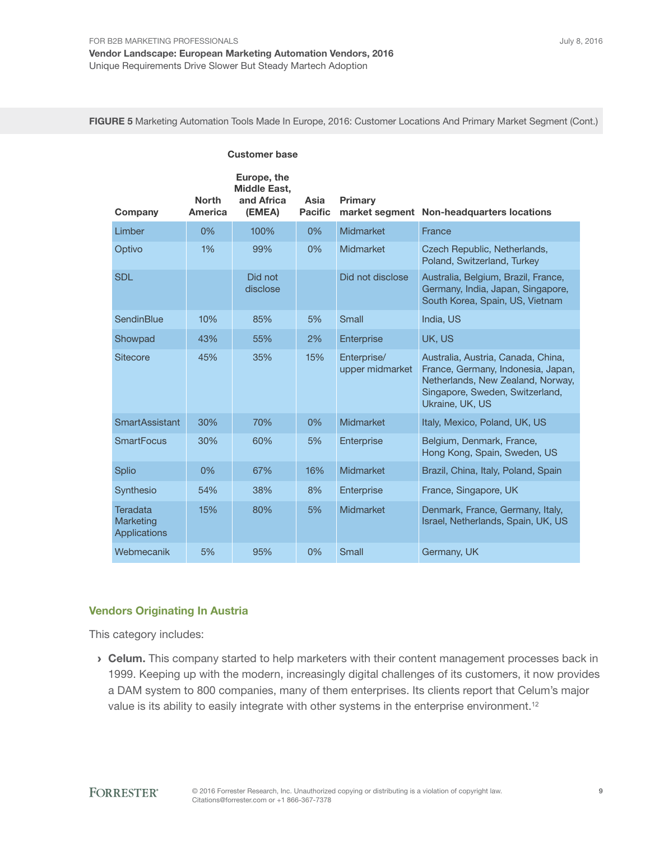Customer base

FIGURE 5 Marketing Automation Tools Made In Europe, 2016: Customer Locations And Primary Market Segment (Cont.)

| Company                               | <b>North</b><br><b>America</b> | Europe, the<br><b>Middle East,</b><br>and Africa<br>(EMEA) | Asia<br><b>Pacific</b> | Primary                        | market segment Non-headquarters locations                                                                                                                           |
|---------------------------------------|--------------------------------|------------------------------------------------------------|------------------------|--------------------------------|---------------------------------------------------------------------------------------------------------------------------------------------------------------------|
| Limber                                | 0%                             | 100%                                                       | 0%                     | Midmarket                      | France                                                                                                                                                              |
| Optivo                                | 1%                             | 99%                                                        | 0%                     | Midmarket                      | Czech Republic, Netherlands,<br>Poland, Switzerland, Turkey                                                                                                         |
| <b>SDL</b>                            |                                | Did not<br>disclose                                        |                        | Did not disclose               | Australia, Belgium, Brazil, France,<br>Germany, India, Japan, Singapore,<br>South Korea, Spain, US, Vietnam                                                         |
| SendinBlue                            | 10%                            | 85%                                                        | 5%                     | Small                          | India, US                                                                                                                                                           |
| Showpad                               | 43%                            | 55%                                                        | 2%                     | Enterprise                     | UK, US                                                                                                                                                              |
| <b>Sitecore</b>                       | 45%                            | 35%                                                        | 15%                    | Enterprise/<br>upper midmarket | Australia, Austria, Canada, China,<br>France, Germany, Indonesia, Japan,<br>Netherlands, New Zealand, Norway,<br>Singapore, Sweden, Switzerland,<br>Ukraine, UK, US |
| <b>SmartAssistant</b>                 | 30%                            | 70%                                                        | 0%                     | Midmarket                      | Italy, Mexico, Poland, UK, US                                                                                                                                       |
| <b>SmartFocus</b>                     | 30%                            | 60%                                                        | 5%                     | Enterprise                     | Belgium, Denmark, France,<br>Hong Kong, Spain, Sweden, US                                                                                                           |
| <b>Splio</b>                          | 0%                             | 67%                                                        | 16%                    | Midmarket                      | Brazil, China, Italy, Poland, Spain                                                                                                                                 |
| Synthesio                             | 54%                            | 38%                                                        | 8%                     | Enterprise                     | France, Singapore, UK                                                                                                                                               |
| Teradata<br>Marketing<br>Applications | 15%                            | 80%                                                        | 5%                     | Midmarket                      | Denmark, France, Germany, Italy,<br>Israel, Netherlands, Spain, UK, US                                                                                              |
| Webmecanik                            | 5%                             | 95%                                                        | 0%                     | Small                          | Germany, UK                                                                                                                                                         |

#### Vendors Originating In Austria

This category includes:

**Celum.** This company started to help marketers with their content management processes back in 1999. keeping up with the modern, increasingly digital challenges of its customers, it now provides a DaM system to 800 companies, many of them enterprises. its clients report that Celum's major value is its ability to easily integrate with other systems in the enterprise environment.<sup>12</sup>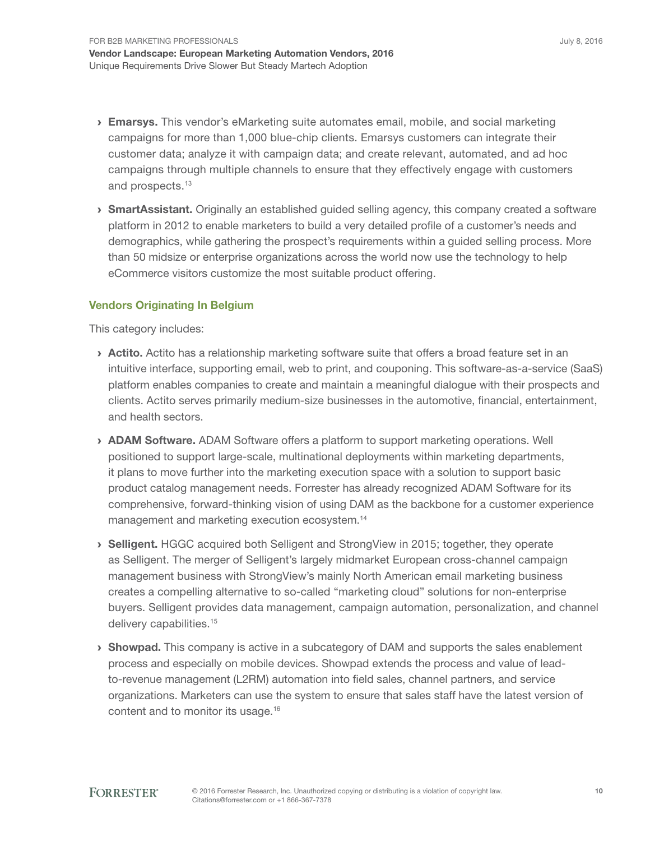- **Emarsys.** This vendor's eMarketing suite automates email, mobile, and social marketing campaigns for more than 1,000 blue-chip clients. emarsys customers can integrate their customer data; analyze it with campaign data; and create relevant, automated, and ad hoc campaigns through multiple channels to ensure that they effectively engage with customers and prospects.<sup>13</sup>
- > SmartAssistant. Originally an established guided selling agency, this company created a software platform in 2012 to enable marketers to build a very detailed profile of a customer's needs and demographics, while gathering the prospect's requirements within a guided selling process. More than 50 midsize or enterprise organizations across the world now use the technology to help eCommerce visitors customize the most suitable product offering.

#### Vendors Originating In Belgium

This category includes:

- **Actito.** Actito has a relationship marketing software suite that offers a broad feature set in an intuitive interface, supporting email, web to print, and couponing. This software-as-a-service (SaaS) platform enables companies to create and maintain a meaningful dialogue with their prospects and clients. actito serves primarily medium-size businesses in the automotive, financial, entertainment, and health sectors.
- **> ADAM Software.** ADAM Software offers a platform to support marketing operations. Well positioned to support large-scale, multinational deployments within marketing departments, it plans to move further into the marketing execution space with a solution to support basic product catalog management needs. Forrester has already recognized aDaM software for its comprehensive, forward-thinking vision of using DaM as the backbone for a customer experience management and marketing execution ecosystem.<sup>14</sup>
- › Selligent. HggC acquired both selligent and strongView in 2015; together, they operate as Selligent. The merger of Selligent's largely midmarket European cross-channel campaign management business with strongView's mainly North american email marketing business creates a compelling alternative to so-called "marketing cloud" solutions for non-enterprise buyers. selligent provides data management, campaign automation, personalization, and channel delivery capabilities.<sup>15</sup>
- **> Showpad.** This company is active in a subcategory of DAM and supports the sales enablement process and especially on mobile devices. showpad extends the process and value of leadto-revenue management (l2rM) automation into field sales, channel partners, and service organizations. Marketers can use the system to ensure that sales staff have the latest version of content and to monitor its usage.<sup>16</sup>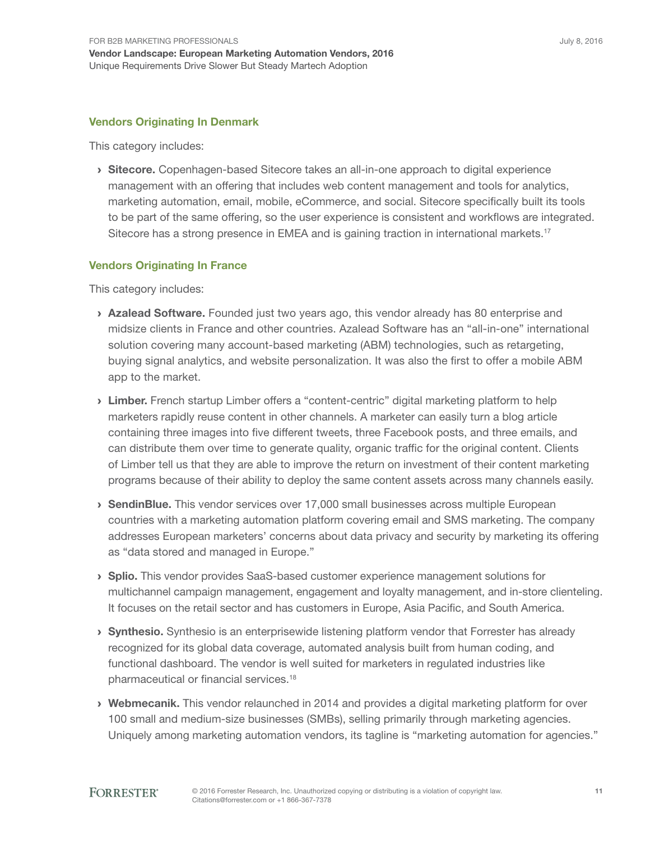#### Vendors Originating In Denmark

This category includes:

**Sitecore.** Copenhagen-based Sitecore takes an all-in-one approach to digital experience management with an offering that includes web content management and tools for analytics, marketing automation, email, mobile, eCommerce, and social. sitecore specifically built its tools to be part of the same offering, so the user experience is consistent and workflows are integrated. Sitecore has a strong presence in EMEA and is gaining traction in international markets.<sup>17</sup>

#### Vendors Originating In France

This category includes:

- **Azalead Software.** Founded just two years ago, this vendor already has 80 enterprise and midsize clients in France and other countries. azalead software has an "all-in-one" international solution covering many account-based marketing (aBM) technologies, such as retargeting, buying signal analytics, and website personalization. it was also the first to offer a mobile aBM app to the market.
- **Limber.** French startup Limber offers a "content-centric" digital marketing platform to help marketers rapidly reuse content in other channels. A marketer can easily turn a blog article containing three images into five different tweets, three Facebook posts, and three emails, and can distribute them over time to generate quality, organic traffic for the original content. Clients of limber tell us that they are able to improve the return on investment of their content marketing programs because of their ability to deploy the same content assets across many channels easily.
- › SendinBlue. This vendor services over 17,000 small businesses across multiple European countries with a marketing automation platform covering email and SMS marketing. The company addresses European marketers' concerns about data privacy and security by marketing its offering as "data stored and managed in Europe."
- > Splio. This vendor provides SaaS-based customer experience management solutions for multichannel campaign management, engagement and loyalty management, and in-store clienteling. It focuses on the retail sector and has customers in Europe, Asia Pacific, and South America.
- › Synthesio. synthesio is an enterprisewide listening platform vendor that Forrester has already recognized for its global data coverage, automated analysis built from human coding, and functional dashboard. The vendor is well suited for marketers in regulated industries like pharmaceutical or financial services.<sup>18</sup>
- **Webmecanik.** This vendor relaunched in 2014 and provides a digital marketing platform for over 100 small and medium-size businesses (SMBs), selling primarily through marketing agencies. Uniquely among marketing automation vendors, its tagline is "marketing automation for agencies."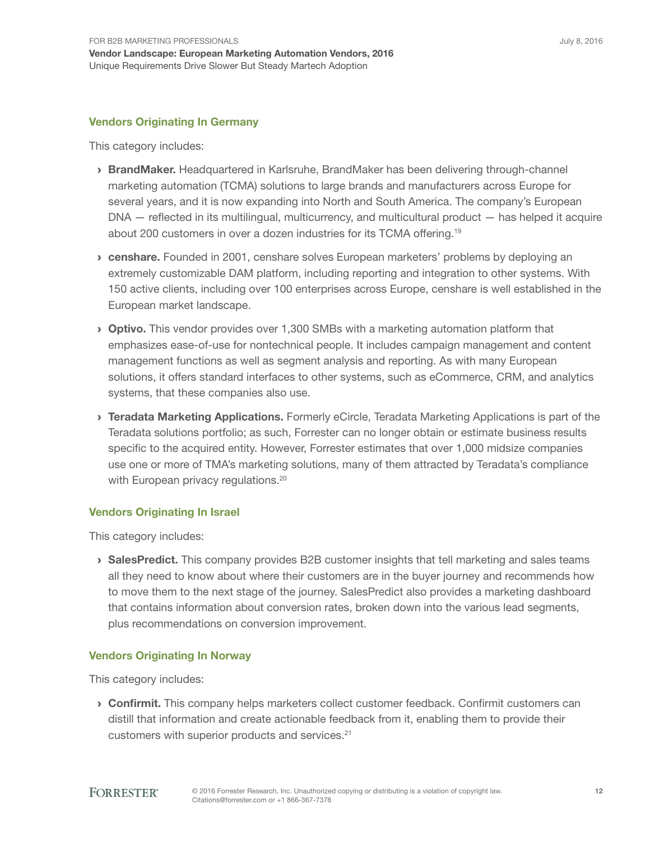#### Vendors Originating In Germany

This category includes:

- › BrandMaker. Headquartered in karlsruhe, BrandMaker has been delivering through-channel marketing automation (TCMA) solutions to large brands and manufacturers across Europe for several years, and it is now expanding into North and South America. The company's European DNa — reflected in its multilingual, multicurrency, and multicultural product — has helped it acquire about 200 customers in over a dozen industries for its TCMA offering.<sup>19</sup>
- **Exercise 1** censhare. Founded in 2001, censhare solves European marketers' problems by deploying an extremely customizable DaM platform, including reporting and integration to other systems. With 150 active clients, including over 100 enterprises across Europe, censhare is well established in the European market landscape.
- Optivo. This vendor provides over 1,300 SMBs with a marketing automation platform that emphasizes ease-of-use for nontechnical people. it includes campaign management and content management functions as well as segment analysis and reporting. As with many European solutions, it offers standard interfaces to other systems, such as eCommerce, CRM, and analytics systems, that these companies also use.
- **I Teradata Marketing Applications.** Formerly eCircle, Teradata Marketing Applications is part of the Teradata solutions portfolio; as such, Forrester can no longer obtain or estimate business results specific to the acquired entity. However, Forrester estimates that over 1,000 midsize companies use one or more of tMa's marketing solutions, many of them attracted by teradata's compliance with European privacy regulations.<sup>20</sup>

#### Vendors Originating In Israel

This category includes:

**SalesPredict.** This company provides B2B customer insights that tell marketing and sales teams all they need to know about where their customers are in the buyer journey and recommends how to move them to the next stage of the journey. salesPredict also provides a marketing dashboard that contains information about conversion rates, broken down into the various lead segments, plus recommendations on conversion improvement.

#### Vendors Originating In Norway

This category includes:

**Confirmit.** This company helps marketers collect customer feedback. Confirmit customers can distill that information and create actionable feedback from it, enabling them to provide their customers with superior products and services.<sup>21</sup>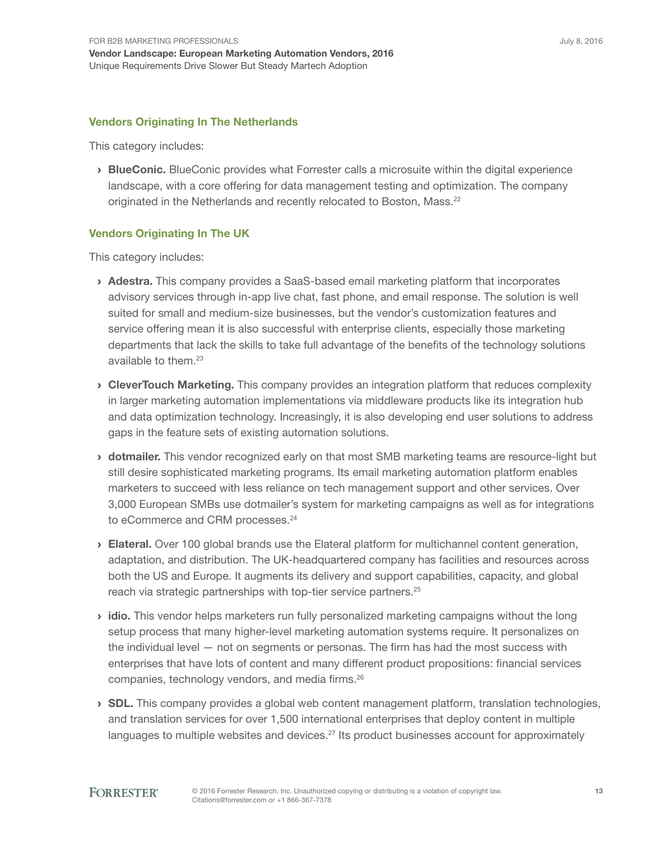#### Vendors Originating In The Netherlands

This category includes:

**› BlueConic.** BlueConic provides what Forrester calls a microsuite within the digital experience landscape, with a core offering for data management testing and optimization. The company originated in the Netherlands and recently relocated to Boston, Mass.<sup>22</sup>

#### Vendors Originating In The UK

This category includes:

- **Adestra.** This company provides a SaaS-based email marketing platform that incorporates advisory services through in-app live chat, fast phone, and email response. the solution is well suited for small and medium-size businesses, but the vendor's customization features and service offering mean it is also successful with enterprise clients, especially those marketing departments that lack the skills to take full advantage of the benefits of the technology solutions available to them.<sup>23</sup>
- **CleverTouch Marketing.** This company provides an integration platform that reduces complexity in larger marketing automation implementations via middleware products like its integration hub and data optimization technology. increasingly, it is also developing end user solutions to address gaps in the feature sets of existing automation solutions.
- **I** dotmailer. This vendor recognized early on that most SMB marketing teams are resource-light but still desire sophisticated marketing programs. its email marketing automation platform enables marketers to succeed with less reliance on tech management support and other services. Over 3,000 European SMBs use dotmailer's system for marketing campaigns as well as for integrations to eCommerce and CRM processes.<sup>24</sup>
- › Elateral. Over 100 global brands use the elateral platform for multichannel content generation, adaptation, and distribution. The UK-headquartered company has facilities and resources across both the US and Europe. It augments its delivery and support capabilities, capacity, and global reach via strategic partnerships with top-tier service partners.<sup>25</sup>
- idio. This vendor helps marketers run fully personalized marketing campaigns without the long setup process that many higher-level marketing automation systems require. it personalizes on the individual level – not on segments or personas. The firm has had the most success with enterprises that have lots of content and many different product propositions: financial services companies, technology vendors, and media firms.<sup>26</sup>
- $\rightarrow$  SDL. This company provides a global web content management platform, translation technologies, and translation services for over 1,500 international enterprises that deploy content in multiple languages to multiple websites and devices.<sup>27</sup> Its product businesses account for approximately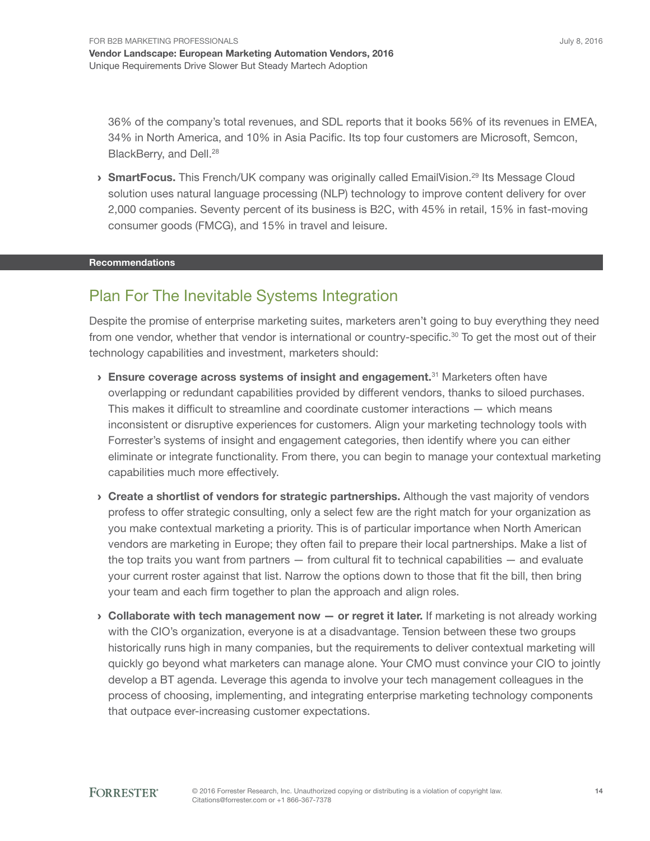36% of the company's total revenues, and SDL reports that it books 56% of its revenues in EMEA, 34% in North america, and 10% in asia Pacific. its top four customers are Microsoft, semcon, BlackBerry, and Dell.<sup>28</sup>

**> SmartFocus.** This French/UK company was originally called EmailVision.<sup>29</sup> Its Message Cloud solution uses natural language processing (NLP) technology to improve content delivery for over 2,000 companies. seventy percent of its business is B2C, with 45% in retail, 15% in fast-moving consumer goods (FMCg), and 15% in travel and leisure.

#### **Recommendations**

## Plan For The Inevitable Systems Integration

Despite the promise of enterprise marketing suites, marketers aren't going to buy everything they need from one vendor, whether that vendor is international or country-specific.<sup>30</sup> To get the most out of their technology capabilities and investment, marketers should:

- $\rightarrow$  Ensure coverage across systems of insight and engagement.<sup>31</sup> Marketers often have overlapping or redundant capabilities provided by different vendors, thanks to siloed purchases. This makes it difficult to streamline and coordinate customer interactions — which means inconsistent or disruptive experiences for customers. align your marketing technology tools with Forrester's systems of insight and engagement categories, then identify where you can either eliminate or integrate functionality. From there, you can begin to manage your contextual marketing capabilities much more effectively.
- › Create a shortlist of vendors for strategic partnerships. although the vast majority of vendors profess to offer strategic consulting, only a select few are the right match for your organization as you make contextual marketing a priority. This is of particular importance when North American vendors are marketing in Europe; they often fail to prepare their local partnerships. Make a list of the top traits you want from partners — from cultural fit to technical capabilities — and evaluate your current roster against that list. Narrow the options down to those that fit the bill, then bring your team and each firm together to plan the approach and align roles.
- $\rightarrow$  Collaborate with tech management now  $-$  or regret it later. If marketing is not already working with the CIO's organization, everyone is at a disadvantage. Tension between these two groups historically runs high in many companies, but the requirements to deliver contextual marketing will quickly go beyond what marketers can manage alone. Your CMO must convince your CiO to jointly develop a BT agenda. Leverage this agenda to involve your tech management colleagues in the process of choosing, implementing, and integrating enterprise marketing technology components that outpace ever-increasing customer expectations.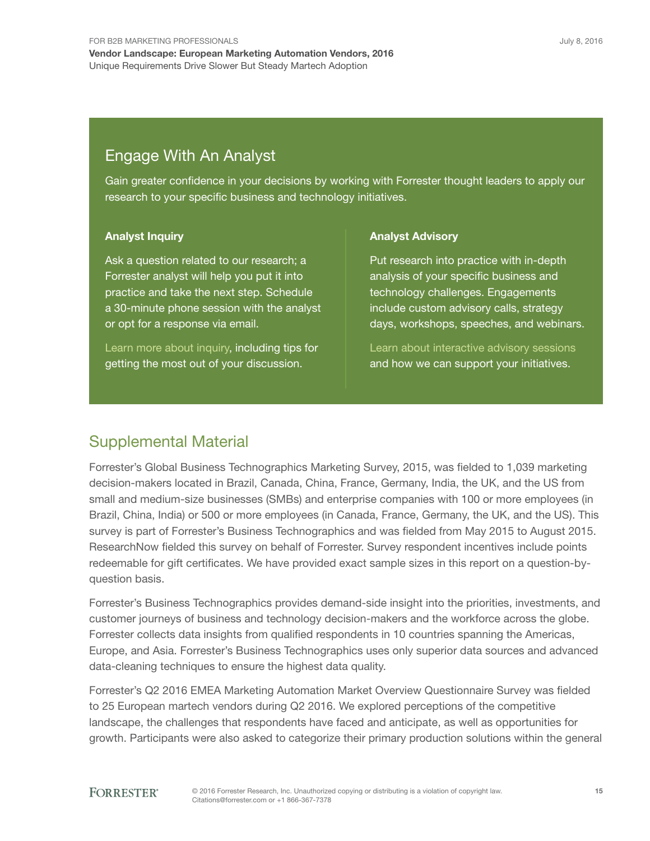## **Engage With An Analyst**

gain greater confidence in your decisions by working with Forrester thought leaders to apply our research to your specific business and technology initiatives.

#### Analyst Inquiry

Ask a question related to our research; a Forrester analyst will help you put it into practice and take the next step. Schedule a 30-minute phone session with the analyst or opt for a response via email.

Learn more about inquiry, including tips for getting the most out of your discussion.

#### Analyst Advisory

Put research into practice with in-depth analysis of your specific business and technology challenges. Engagements include custom advisory calls, strategy days, workshops, speeches, and webinars.

Learn about interactive advisory sessions and how we can support your initiatives.

### supplemental Material

Forrester's global Business technographics Marketing survey, 2015, was fielded to 1,039 marketing decision-makers located in Brazil, Canada, China, France, germany, india, the Uk, and the Us from small and medium-size businesses (sMBs) and enterprise companies with 100 or more employees (in Brazil, China, India) or 500 or more employees (in Canada, France, Germany, the UK, and the US). This survey is part of Forrester's Business Technographics and was fielded from May 2015 to August 2015. ResearchNow fielded this survey on behalf of Forrester. Survey respondent incentives include points redeemable for gift certificates. We have provided exact sample sizes in this report on a question-byquestion basis.

Forrester's Business technographics provides demand-side insight into the priorities, investments, and customer journeys of business and technology decision-makers and the workforce across the globe. Forrester collects data insights from qualified respondents in 10 countries spanning the Americas, Europe, and Asia. Forrester's Business Technographics uses only superior data sources and advanced data-cleaning techniques to ensure the highest data quality.

Forrester's Q2 2016 EMEA Marketing Automation Market Overview Questionnaire Survey was fielded to 25 European martech vendors during Q2 2016. We explored perceptions of the competitive landscape, the challenges that respondents have faced and anticipate, as well as opportunities for growth. Participants were also asked to categorize their primary production solutions within the general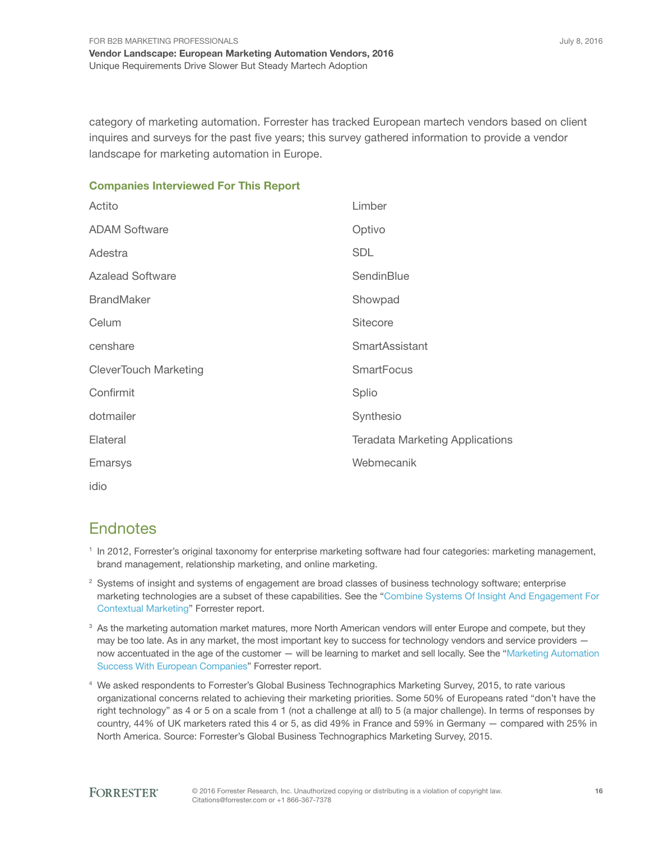category of marketing automation. Forrester has tracked European martech vendors based on client inquires and surveys for the past five years; this survey gathered information to provide a vendor landscape for marketing automation in Europe.

#### Companies Interviewed For This Report

| Actito                       | Limber                                 |
|------------------------------|----------------------------------------|
| <b>ADAM Software</b>         | Optivo                                 |
| Adestra                      | <b>SDL</b>                             |
| <b>Azalead Software</b>      | SendinBlue                             |
| <b>BrandMaker</b>            | Showpad                                |
| Celum                        | <b>Sitecore</b>                        |
| censhare                     | <b>SmartAssistant</b>                  |
| <b>CleverTouch Marketing</b> | <b>SmartFocus</b>                      |
| Confirmit                    | Splio                                  |
| dotmailer                    | Synthesio                              |
| Elateral                     | <b>Teradata Marketing Applications</b> |
| <b>Emarsys</b>               | Webmecanik                             |
| idio                         |                                        |

## **Endnotes**

- <sup>1</sup> In 2012, Forrester's original taxonomy for enterprise marketing software had four categories: marketing management, brand management, relationship marketing, and online marketing.
- $2$  Systems of insight and systems of engagement are broad classes of business technology software; enterprise marketing technologies are a subset of these capabilities. See the "Combine Systems Of Insight And Engagement For Contextual Marketing" Forrester report.
- $3$  As the marketing automation market matures, more North American vendors will enter Europe and compete, but they may be too late. As in any market, the most important key to success for technology vendors and service providers now accentuated in the age of the customer — will be learning to market and sell locally. See the "Marketing Automation Success With European Companies" Forrester report.
- 4 We asked respondents to Forrester's global Business technographics Marketing survey, 2015, to rate various organizational concerns related to achieving their marketing priorities. some 50% of europeans rated "don't have the right technology" as 4 or 5 on a scale from 1 (not a challenge at all) to 5 (a major challenge). in terms of responses by country, 44% of Uk marketers rated this 4 or 5, as did 49% in France and 59% in germany — compared with 25% in North america. source: Forrester's global Business technographics Marketing survey, 2015.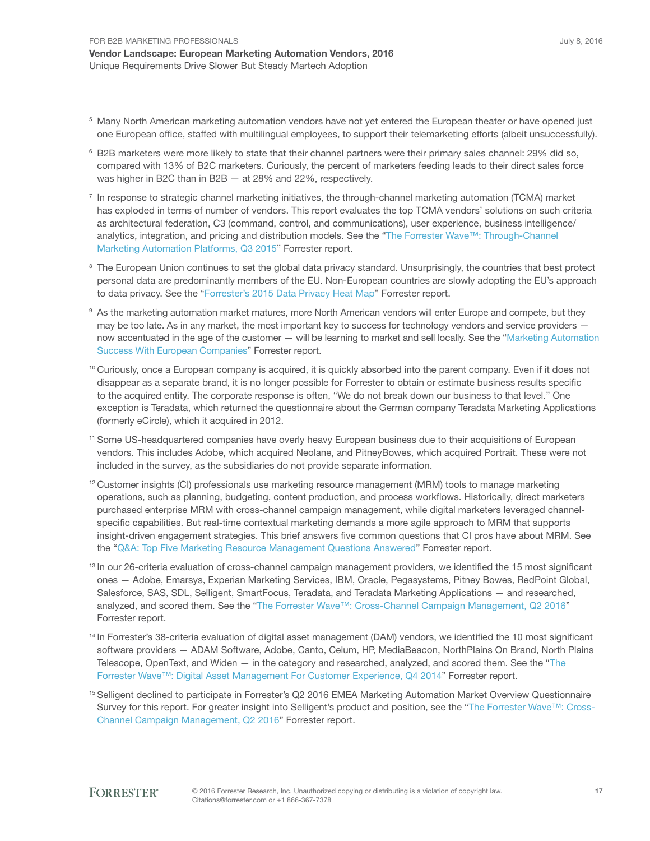- <sup>5</sup> Many North American marketing automation vendors have not yet entered the European theater or have opened just one European office, staffed with multilingual employees, to support their telemarketing efforts (albeit unsuccessfully).
- 6 B2B marketers were more likely to state that their channel partners were their primary sales channel: 29% did so, compared with 13% of B2C marketers. Curiously, the percent of marketers feeding leads to their direct sales force was higher in B2C than in B2B — at 28% and 22%, respectively.
- <sup>7</sup> In response to strategic channel marketing initiatives, the through-channel marketing automation (TCMA) market has exploded in terms of number of vendors. This report evaluates the top TCMA vendors' solutions on such criteria as architectural federation, C3 (command, control, and communications), user experience, business intelligence/ analytics, integration, and pricing and distribution models. See the "The Forrester Wave™: Through-Channel Marketing Automation Platforms, Q3 2015" Forrester report.
- <sup>8</sup> The European Union continues to set the global data privacy standard. Unsurprisingly, the countries that best protect personal data are predominantly members of the eU. Non-european countries are slowly adopting the eU's approach to data privacy. see the "Forrester's 2015 Data Privacy Heat Map" Forrester report.
- $^{\circ}$  As the marketing automation market matures, more North American vendors will enter Europe and compete, but they may be too late. As in any market, the most important key to success for technology vendors and service providers now accentuated in the age of the customer — will be learning to market and sell locally. See the "Marketing Automation Success With European Companies" Forrester report.
- $10$  Curiously, once a European company is acquired, it is quickly absorbed into the parent company. Even if it does not disappear as a separate brand, it is no longer possible for Forrester to obtain or estimate business results specific to the acquired entity. The corporate response is often, "We do not break down our business to that level." One exception is Teradata, which returned the questionnaire about the German company Teradata Marketing Applications (formerly eCircle), which it acquired in 2012.
- <sup>11</sup> Some US-headquartered companies have overly heavy European business due to their acquisitions of European vendors. This includes Adobe, which acquired Neolane, and PitneyBowes, which acquired Portrait. These were not included in the survey, as the subsidiaries do not provide separate information.
- $12$  Customer insights (CI) professionals use marketing resource management (MRM) tools to manage marketing operations, such as planning, budgeting, content production, and process workflows. Historically, direct marketers purchased enterprise MrM with cross-channel campaign management, while digital marketers leveraged channelspecific capabilities. But real-time contextual marketing demands a more agile approach to MRM that supports insight-driven engagement strategies. this brief answers five common questions that Ci pros have about MrM. see the "Q&A: Top Five Marketing Resource Management Questions Answered" Forrester report.
- <sup>13</sup> In our 26-criteria evaluation of cross-channel campaign management providers, we identified the 15 most significant ones — Adobe, Emarsys, Experian Marketing Services, IBM, Oracle, Pegasystems, Pitney Bowes, RedPoint Global, Salesforce, SAS, SDL, Selligent, SmartFocus, Teradata, and Teradata Marketing Applications — and researched, analyzed, and scored them. See the "The Forrester Wave™: Cross-Channel Campaign Management, Q2 2016" Forrester report.
- <sup>14</sup> In Forrester's 38-criteria evaluation of digital asset management (DAM) vendors, we identified the 10 most significant software providers — aDaM software, adobe, Canto, Celum, HP, MediaBeacon, NorthPlains On Brand, North Plains Telescope, OpenText, and Widen  $-$  in the category and researched, analyzed, and scored them. See the "The Forrester Wave™: Digital Asset Management For Customer Experience, Q4 2014" Forrester report.
- <sup>15</sup> Selligent declined to participate in Forrester's Q2 2016 EMEA Marketing Automation Market Overview Questionnaire Survey for this report. For greater insight into Selligent's product and position, see the "The Forrester Wave™: Cross-Channel Campaign Management, Q2 2016" Forrester report.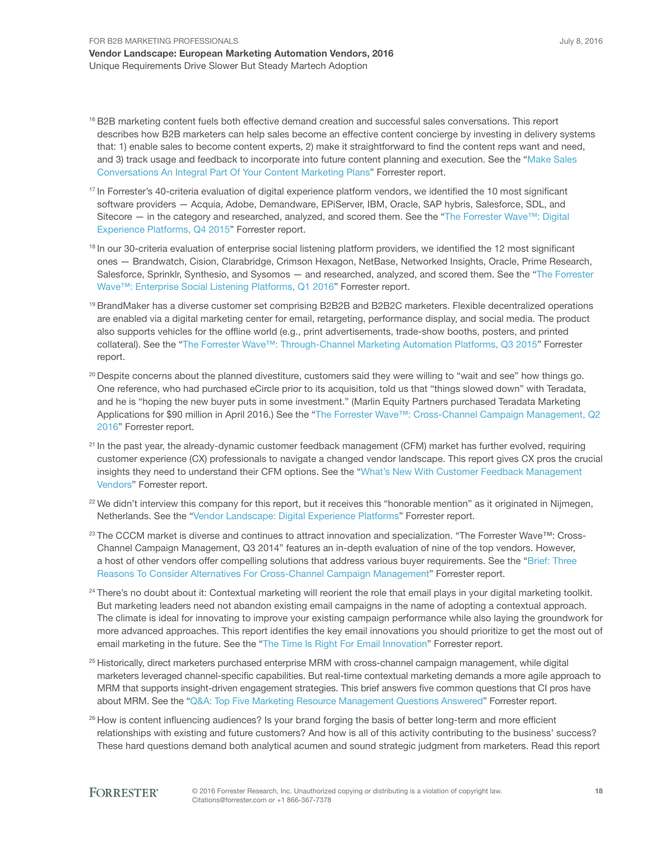- <sup>16</sup> B2B marketing content fuels both effective demand creation and successful sales conversations. This report describes how B2B marketers can help sales become an effective content concierge by investing in delivery systems that: 1) enable sales to become content experts, 2) make it straightforward to find the content reps want and need, and 3) track usage and feedback to incorporate into future content planning and execution. See the "Make Sales Conversations an integral Part Of Your Content Marketing Plans" Forrester report.
- <sup>17</sup> In Forrester's 40-criteria evaluation of digital experience platform vendors, we identified the 10 most significant software providers — Acquia, Adobe, Demandware, EPiServer, IBM, Oracle, SAP hybris, Salesforce, SDL, and Sitecore — in the category and researched, analyzed, and scored them. See the "The Forrester Wave™: Digital Experience Platforms, Q4 2015" Forrester report.
- <sup>18</sup> In our 30-criteria evaluation of enterprise social listening platform providers, we identified the 12 most significant ones - Brandwatch, Cision, Clarabridge, Crimson Hexagon, NetBase, Networked Insights, Oracle, Prime Research, Salesforce, Sprinklr, Synthesio, and Sysomos — and researched, analyzed, and scored them. See the "The Forrester Wave™: Enterprise Social Listening Platforms, Q1 2016" Forrester report.
- <sup>19</sup> BrandMaker has a diverse customer set comprising B2B2B and B2B2C marketers. Flexible decentralized operations are enabled via a digital marketing center for email, retargeting, performance display, and social media. the product also supports vehicles for the offline world (e.g., print advertisements, trade-show booths, posters, and printed collateral). See the "The Forrester Wave™: Through-Channel Marketing Automation Platforms, Q3 2015" Forrester report.
- <sup>20</sup> Despite concerns about the planned divestiture, customers said they were willing to "wait and see" how things go. One reference, who had purchased eCircle prior to its acquisition, told us that "things slowed down" with teradata, and he is "hoping the new buyer puts in some investment." (Marlin Equity Partners purchased Teradata Marketing Applications for \$90 million in April 2016.) See the "The Forrester Wave™: Cross-Channel Campaign Management, Q2 2016" Forrester report.
- <sup>21</sup> In the past year, the already-dynamic customer feedback management (CFM) market has further evolved, requiring customer experience (CX) professionals to navigate a changed vendor landscape. This report gives CX pros the crucial insights they need to understand their CFM options. See the "What's New With Customer Feedback Management Vendors" Forrester report.
- <sup>22</sup> We didn't interview this company for this report, but it receives this "honorable mention" as it originated in Nijmegen, Netherlands. See the "Vendor Landscape: Digital Experience Platforms" Forrester report.
- <sup>23</sup> The CCCM market is diverse and continues to attract innovation and specialization. "The Forrester Wave™: Cross-Channel Campaign Management, Q3 2014" features an in-depth evaluation of nine of the top vendors. However, a host of other vendors offer compelling solutions that address various buyer requirements. See the "Brief: Three Reasons To Consider Alternatives For Cross-Channel Campaign Management" Forrester report.
- <sup>24</sup> There's no doubt about it: Contextual marketing will reorient the role that email plays in your digital marketing toolkit. But marketing leaders need not abandon existing email campaigns in the name of adopting a contextual approach. The climate is ideal for innovating to improve your existing campaign performance while also laying the groundwork for more advanced approaches. this report identifies the key email innovations you should prioritize to get the most out of email marketing in the future. See the "The Time Is Right For Email Innovation" Forrester report.
- <sup>25</sup> Historically, direct marketers purchased enterprise MRM with cross-channel campaign management, while digital marketers leveraged channel-specific capabilities. But real-time contextual marketing demands a more agile approach to MRM that supports insight-driven engagement strategies. This brief answers five common questions that CI pros have about MRM. See the "Q&A: Top Five Marketing Resource Management Questions Answered" Forrester report.
- <sup>26</sup> How is content influencing audiences? Is your brand forging the basis of better long-term and more efficient relationships with existing and future customers? And how is all of this activity contributing to the business' success? These hard questions demand both analytical acumen and sound strategic judgment from marketers. Read this report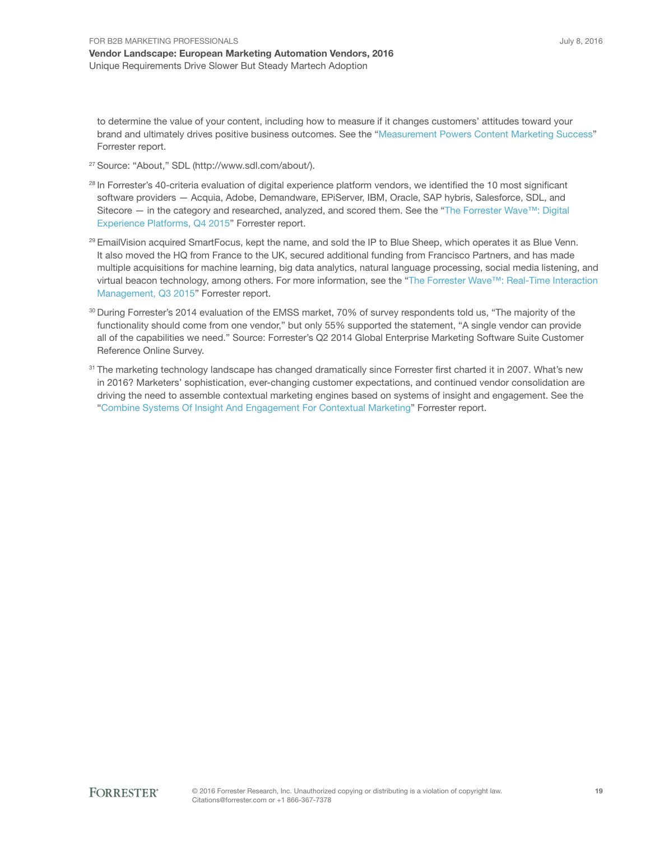to determine the value of your content, including how to measure if it changes customers' attitudes toward your brand and ultimately drives positive business outcomes. see the "Measurement Powers Content Marketing success" Forrester report.

- <sup>27</sup> Source: "About," SDL (http://www.sdl.com/about/).
- <sup>28</sup> In Forrester's 40-criteria evaluation of digital experience platform vendors, we identified the 10 most significant software providers - Acquia, Adobe, Demandware, EPiServer, IBM, Oracle, SAP hybris, Salesforce, SDL, and Sitecore — in the category and researched, analyzed, and scored them. See the "The Forrester Wave™: Digital Experience Platforms, Q4 2015" Forrester report.
- <sup>29</sup> EmailVision acquired SmartFocus, kept the name, and sold the IP to Blue Sheep, which operates it as Blue Venn. It also moved the HQ from France to the UK, secured additional funding from Francisco Partners, and has made multiple acquisitions for machine learning, big data analytics, natural language processing, social media listening, and virtual beacon technology, among others. For more information, see the "The Forrester Wave™: Real-Time Interaction Management, Q3 2015" Forrester report.
- <sup>30</sup> During Forrester's 2014 evaluation of the EMSS market, 70% of survey respondents told us, "The majority of the functionality should come from one vendor," but only 55% supported the statement, "A single vendor can provide all of the capabilities we need." Source: Forrester's Q2 2014 Global Enterprise Marketing Software Suite Customer Reference Online Survey.
- <sup>31</sup> The marketing technology landscape has changed dramatically since Forrester first charted it in 2007. What's new in 2016? Marketers' sophistication, ever-changing customer expectations, and continued vendor consolidation are driving the need to assemble contextual marketing engines based on systems of insight and engagement. see the "Combine Systems Of Insight And Engagement For Contextual Marketing" Forrester report.